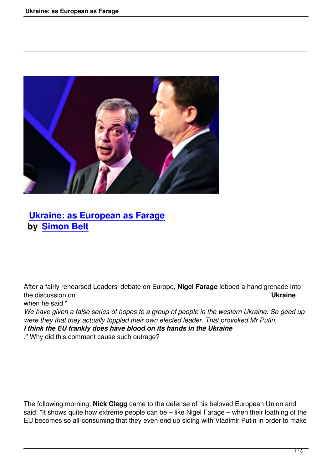

## **Ukraine: as European as Farage by Simon Belt**

After a fairly rehearsed Leaders' debate on Europe, **Nigel Farage** lobbed a hand grenade into the discussion on **Ukraine** when he said "

*We have given a false series of hopes to a group of people in the western Ukraine. So geed up were they that they actually toppled their own elected leader. That provoked Mr Putin. I think the EU frankly does have blood on its hands in the Ukraine*

." Why did this comment cause such outrage?

The following morning, **Nick Clegg** came to the defense of his beloved European Union and said: "It shows quite how extreme people can be – like Nigel Farage – when their loathing of the EU becomes so all-consuming that they even end up siding with Vladimir Putin in order to make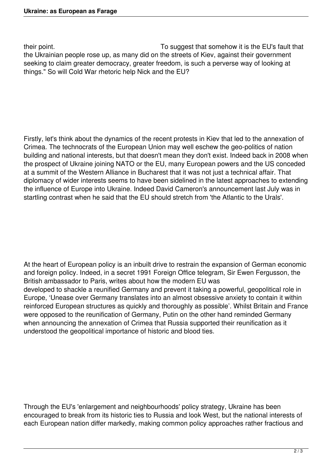their point. To suggest that somehow it is the EU's fault that the Ukrainian people rose up, as many did on the streets of Kiev, against their government seeking to claim greater democracy, greater freedom, is such a perverse way of looking at things." So will Cold War rhetoric help Nick and the EU?

Firstly, let's think about the dynamics of the recent protests in Kiev that led to the annexation of Crimea. The technocrats of the European Union may well eschew the geo-politics of nation building and national interests, but that doesn't mean they don't exist. Indeed back in 2008 when the prospect of Ukraine joining NATO or the EU, many European powers and the US conceded at a summit of the Western Alliance in Bucharest that it was not just a technical affair. That diplomacy of wider interests seems to have been sidelined in the latest approaches to extending the influence of Europe into Ukraine. Indeed David Cameron's announcement last July was in startling contrast when he said that the EU should stretch from 'the Atlantic to the Urals'.

At the heart of European policy is an inbuilt drive to restrain the expansion of German economic and foreign policy. Indeed, in a secret 1991 Foreign Office telegram, Sir Ewen Fergusson, the British ambassador to Paris, writes about how the modern EU was developed to shackle a reunified Germany and prevent it taking a powerful, geopolitical role in Europe, 'Unease over Germany translates into an almost obsessive anxiety to contain it within reinforced European structures as quickly and thoroughly as possible'. Whilst Britain and France were opposed to the reunification of Germany, Putin on the other hand reminded Germany when announcing the annexation of Crimea that Russia supported their reunification as it understood the geopolitical importance of historic and blood ties.

Through the EU's 'enlargement and neighbourhoods' policy strategy, Ukraine has been encouraged to break from its historic ties to Russia and look West, but the national interests of each European nation differ markedly, making common policy approaches rather fractious and